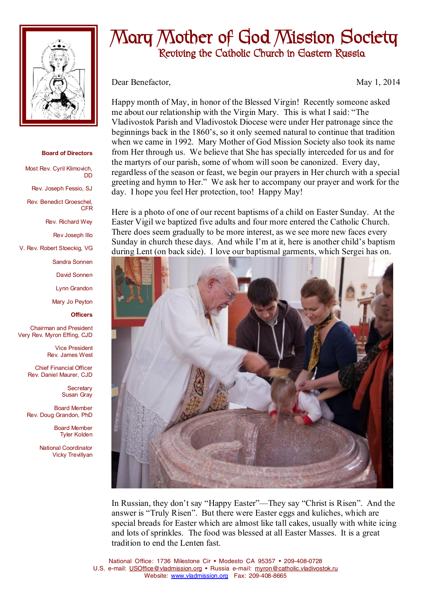

## **Board of Directors**

Most Rev. Cyril Klimovich, DD

Rev. Joseph Fessio, SJ

Rev. Benedict Groeschel, CFR

Rev. Richard Wey

Rev Joseph Illo

V. Rev. Robert Stoeckig, VG

Sandra Sonnen

David Sonnen

Lynn Grandon

Mary Jo Peyton

**Officers**

Chairman and President Very Rev. Myron Effing, CJD

> Vice President Rev. James West

Chief Financial Officer Rev. Daniel Maurer, CJD

> **Secretary** Susan Gray

Board Member Rev. Doug Grandon, PhD

> Board Member Tyler Kolden

National Coordinator Vicky Trevillyan

## **Mary Mother of God Mission Society Reviving the Catholic Church in Eastern Russia**

Dear Benefactor, May 1, 2014

Happy month of May, in honor of the Blessed Virgin! Recently someone asked me about our relationship with the Virgin Mary. This is what I said: "The Vladivostok Parish and Vladivostok Diocese were under Her patronage since the beginnings back in the 1860's, so it only seemed natural to continue that tradition when we came in 1992. Mary Mother of God Mission Society also took its name from Her through us. We believe that She has specially interceded for us and for the martyrs of our parish, some of whom will soon be canonized. Every day, regardless of the season or feast, we begin our prayers in Her church with a special greeting and hymn to Her." We ask her to accompany our prayer and work for the day. I hope you feel Her protection, too! Happy May!

Here is a photo of one of our recent baptisms of a child on Easter Sunday. At the Easter Vigil we baptized five adults and four more entered the Catholic Church. There does seem gradually to be more interest, as we see more new faces every Sunday in church these days. And while I'm at it, here is another child's baptism during Lent (on back side). I love our baptismal garments, which Sergei has on.



In Russian, they don't say "Happy Easter"—They say "Christ is Risen". And the answer is "Truly Risen". But there were Easter eggs and kuliches, which are special breads for Easter which are almost like tall cakes, usually with white icing and lots of sprinkles. The food was blessed at all Easter Masses. It is a great tradition to end the Lenten fast.